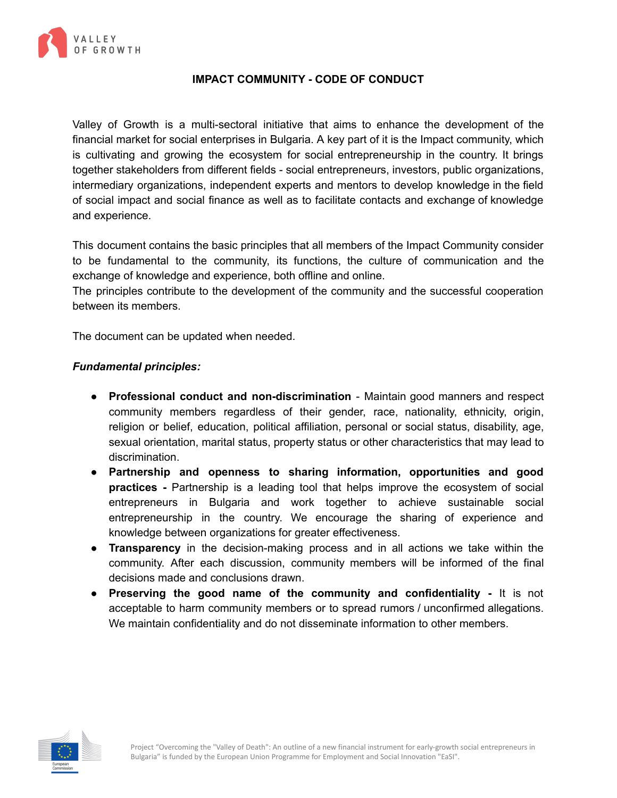

## **IMPACT COMMUNITY - CODE OF CONDUCT**

Valley of Growth is a multi-sectoral initiative that aims to enhance the development of the financial market for social enterprises in Bulgaria. A key part of it is the Impact community, which is cultivating and growing the ecosystem for social entrepreneurship in the country. It brings together stakeholders from different fields - social entrepreneurs, investors, public organizations, intermediary organizations, independent experts and mentors to develop knowledge in the field of social impact and social finance as well as to facilitate contacts and exchange of knowledge and experience.

This document contains the basic principles that all members of the Impact Community consider to be fundamental to the community, its functions, the culture of communication and the exchange of knowledge and experience, both offline and online.

The principles contribute to the development of the community and the successful cooperation between its members.

The document can be updated when needed.

## *Fundamental principles:*

- **Professional conduct and non-discrimination** Maintain good manners and respect community members regardless of their gender, race, nationality, ethnicity, origin, religion or belief, education, political affiliation, personal or social status, disability, age, sexual orientation, marital status, property status or other characteristics that may lead to discrimination.
- **Partnership and openness to sharing information, opportunities and good practices -** Partnership is a leading tool that helps improve the ecosystem of social entrepreneurs in Bulgaria and work together to achieve sustainable social entrepreneurship in the country. We encourage the sharing of experience and knowledge between organizations for greater effectiveness.
- **Transparency** in the decision-making process and in all actions we take within the community. After each discussion, community members will be informed of the final decisions made and conclusions drawn.
- **Preserving the good name of the community and confidentiality -** It is not acceptable to harm community members or to spread rumors / unconfirmed allegations. We maintain confidentiality and do not disseminate information to other members.